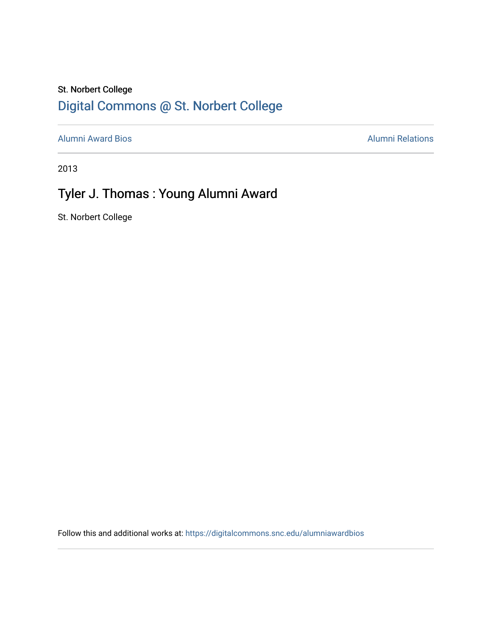#### St. Norbert College [Digital Commons @ St. Norbert College](https://digitalcommons.snc.edu/)

[Alumni Award Bios](https://digitalcommons.snc.edu/alumniawardbios) **Alumni Relations** Alumni Relations

2013

## Tyler J. Thomas : Young Alumni Award

St. Norbert College

Follow this and additional works at: [https://digitalcommons.snc.edu/alumniawardbios](https://digitalcommons.snc.edu/alumniawardbios?utm_source=digitalcommons.snc.edu%2Falumniawardbios%2F53&utm_medium=PDF&utm_campaign=PDFCoverPages)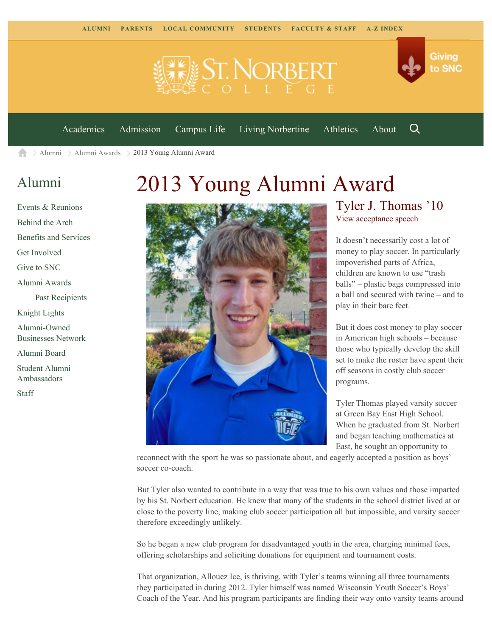

[Academics](https://www.snc.edu/academics) [Admission](https://www.snc.edu/admission) [Campus Life](https://www.snc.edu/campuslife) [Living Norbertine](https://www.snc.edu/livingnorbertine) [Athletics](https://www.snc.edu/athletics) [About](https://www.snc.edu/about)

[Alumni](https://www.snc.edu/alumni/) [Alumni Awards](https://www.snc.edu/alumni/awards/) 2013 Young Alumni Award A

### [Alumni](https://www.snc.edu/alumni/index.html)

[Events & Reunions](https://www.snc.edu/alumni/event/index.html) [Behind the Arch](https://www.snc.edu/alumni/event/behindthearch/) [Benefits and Services](https://www.snc.edu/alumni/benefits.html) [Get Involved](https://www.snc.edu/alumni/getinvolved.html) [Give to SNC](http://giving.snc.edu/) [Alumni Awards](https://www.snc.edu/alumni/awards/index.html) [Past Recipients](https://www.snc.edu/alumni/awards/recipients.html) [Knight Lights](https://www.snc.edu/alumni/knightlights/index.html) [Alumni-Owned](https://www.snc.edu/alumni/directory/index.html) [Businesses Network](https://www.snc.edu/alumni/directory/index.html) [Alumni Board](https://www.snc.edu/alumni/alumniboard.html) [Student Alumni](https://www.snc.edu/alumni/saa.html) [Ambassadors](https://www.snc.edu/alumni/saa.html) [Staff](https://www.snc.edu/alumni/contactus.html)

# 2013 Young Alumni Award



#### Tyler J. Thomas '10 [View acceptance speech](http://www.youtube.com/watch?v=rBRSRADIWvY&feature=youtu.be)

Q

Giving

to SNC

It doesn't necessarily cost a lot of money to play soccer. In particularly impoverished parts of Africa, children are known to use "trash balls" – plastic bags compressed into a ball and secured with twine – and to play in their bare feet.

But it does cost money to play soccer in American high schools – because those who typically develop the skill set to make the roster have spent their off seasons in costly club soccer programs.

Tyler Thomas played varsity soccer at Green Bay East High School. When he graduated from St. Norbert and began teaching mathematics at East, he sought an opportunity to

reconnect with the sport he was so passionate about, and eagerly accepted a position as boys' soccer co-coach.

But Tyler also wanted to contribute in a way that was true to his own values and those imparted by his St. Norbert education. He knew that many of the students in the school district lived at or close to the poverty line, making club soccer participation all but impossible, and varsity soccer therefore exceedingly unlikely.

So he began a new club program for disadvantaged youth in the area, charging minimal fees, offering scholarships and soliciting donations for equipment and tournament costs.

That organization, Allouez Ice, is thriving, with Tyler's teams winning all three tournaments they participated in during 2012. Tyler himself was named Wisconsin Youth Soccer's Boys' Coach of the Year. And his program participants are finding their way onto varsity teams around